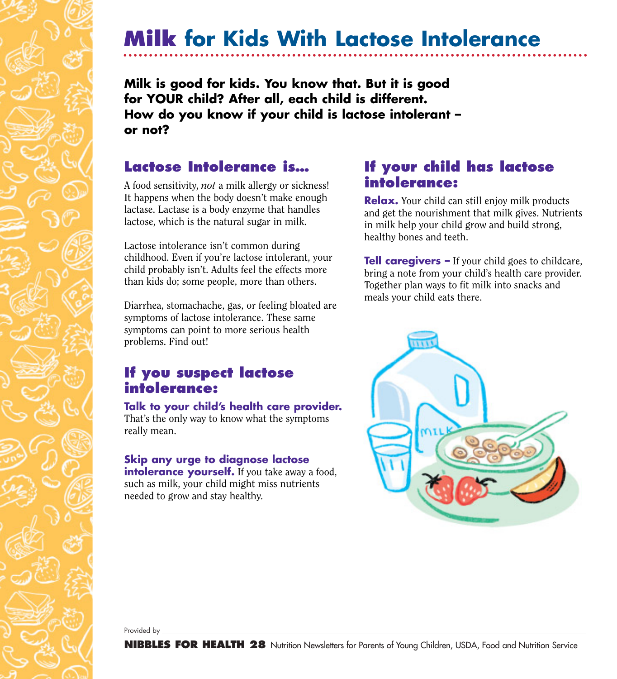## **Milk for Kids With Lactose Intolerance**

**Milk is good for kids. You know that. But it is good for YOUR child? After all, each child is different. How do you know if your child is lactose intolerant – or not?**

### **Lactose Intolerance is…**

A food sensitivity, *not* a milk allergy or sickness! It happens when the body doesn't make enough lactase. Lactase is a body enzyme that handles lactose, which is the natural sugar in milk.

Lactose intolerance isn't common during childhood. Even if you're lactose intolerant, your child probably isn't. Adults feel the effects more than kids do; some people, more than others.

Diarrhea, stomachache, gas, or feeling bloated are symptoms of lactose intolerance. These same symptoms can point to more serious health problems. Find out!

## **If you suspect lactose intolerance:**

#### **Talk to your child's health care provider.**

That's the only way to know what the symptoms really mean.

#### **Skip any urge to diagnose lactose intolerance yourself.** If you take away a food, such as milk, your child might miss nutrients needed to grow and stay healthy.

## **If your child has lactose intolerance:**

**Relax.** Your child can still enjoy milk products and get the nourishment that milk gives. Nutrients in milk help your child grow and build strong, healthy bones and teeth.

**Tell caregivers –** If your child goes to childcare, bring a note from your child's health care provider. Together plan ways to fit milk into snacks and meals your child eats there.



Provided by